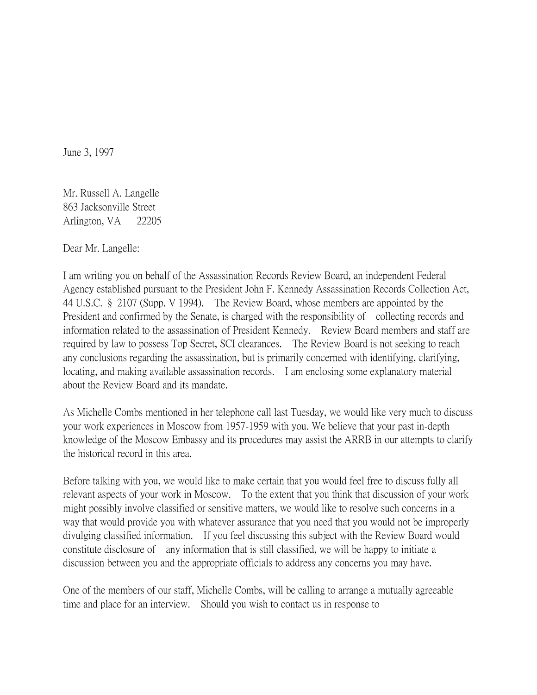June 3, 1997

Mr. Russell A. Langelle 863 Jacksonville Street Arlington, VA 22205

Dear Mr. Langelle:

I am writing you on behalf of the Assassination Records Review Board, an independent Federal Agency established pursuant to the President John F. Kennedy Assassination Records Collection Act, 44 U.S.C. § 2107 (Supp. V 1994). The Review Board, whose members are appointed by the President and confirmed by the Senate, is charged with the responsibility of collecting records and information related to the assassination of President Kennedy. Review Board members and staff are required by law to possess Top Secret, SCI clearances. The Review Board is not seeking to reach any conclusions regarding the assassination, but is primarily concerned with identifying, clarifying, locating, and making available assassination records. I am enclosing some explanatory material about the Review Board and its mandate.

As Michelle Combs mentioned in her telephone call last Tuesday, we would like very much to discuss your work experiences in Moscow from 1957-1959 with you. We believe that your past in-depth knowledge of the Moscow Embassy and its procedures may assist the ARRB in our attempts to clarify the historical record in this area.

Before talking with you, we would like to make certain that you would feel free to discuss fully all relevant aspects of your work in Moscow. To the extent that you think that discussion of your work might possibly involve classified or sensitive matters, we would like to resolve such concerns in a way that would provide you with whatever assurance that you need that you would not be improperly divulging classified information. If you feel discussing this subject with the Review Board would constitute disclosure of any information that is still classified, we will be happy to initiate a discussion between you and the appropriate officials to address any concerns you may have.

One of the members of our staff, Michelle Combs, will be calling to arrange a mutually agreeable time and place for an interview. Should you wish to contact us in response to